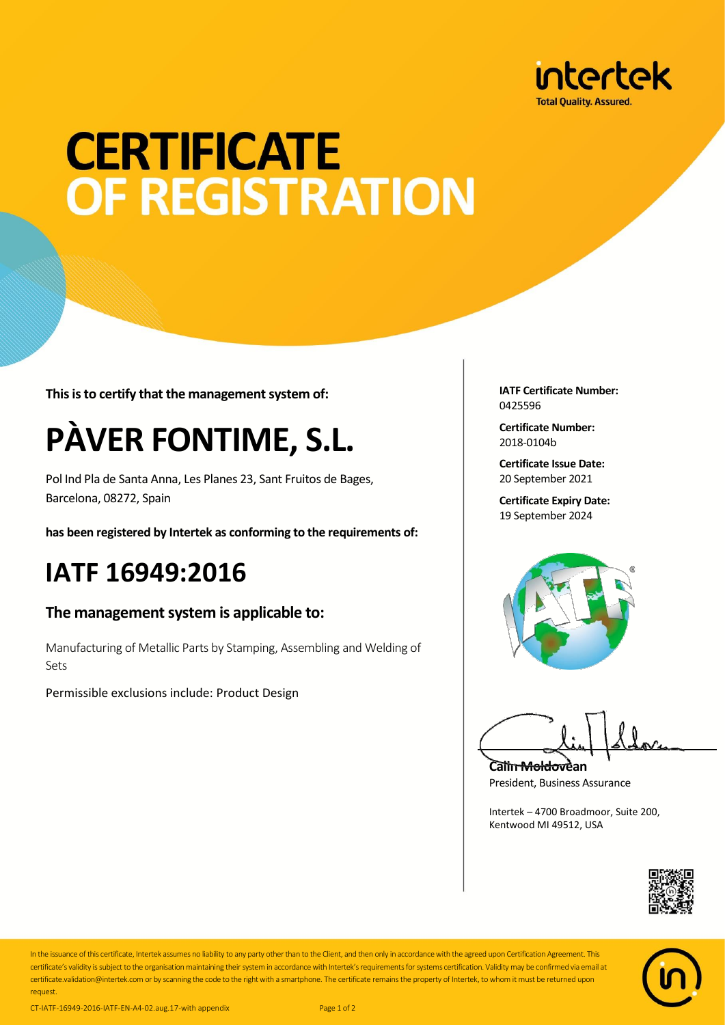

# **CERTIFICATE OF REGISTRATION**

**This is to certify that the management system of:**

## **PÀVER FONTIME, S.L.**

Pol Ind Pla de Santa Anna, Les Planes 23, Sant Fruitos de Bages, Barcelona, 08272, Spain

**has been registered by Intertek as conforming to the requirements of:**

### **IATF 16949:2016**

#### **The management system is applicable to:**

Manufacturing of Metallic Parts by Stamping, Assembling and Welding of Sets

Permissible exclusions include: Product Design

**IATF Certificate Number:** 0425596

**Certificate Number:** 2018-0104b

**Certificate Issue Date:** 20 September 2021

**Certificate Expiry Date:** 19 September 2024



**Calin Moldovean** President, Business Assurance

Intertek – 4700 Broadmoor, Suite 200, Kentwood MI 49512, USA





request.

In the issuance of this certificate, Intertek assumes no liability to any party other than to the Client, and then only in accordance with the agreed upon Certification Agreement. This certificate's validity is subject to the organisation maintaining their system in accordance with Intertek's requirements for systems certification. Validity may be confirmed via email at certificate.validation@intertek.com or by scanning the code to the right with a smartphone. The certificate remains the property of Intertek, to whom it must be returned upon